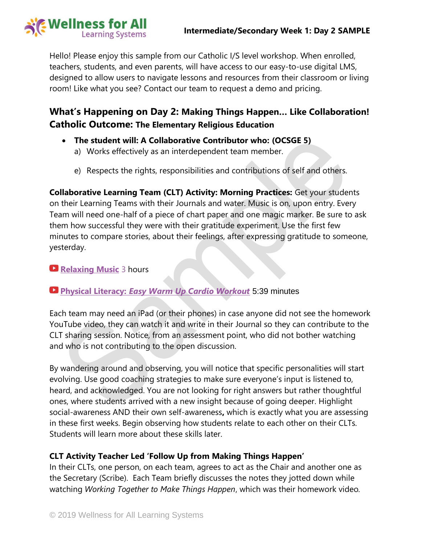



Hello! Please enjoy this sample from our Catholic I/S level workshop. When enrolled, teachers, students, and even parents, will have access to our easy-to-use digital LMS, designed to allow users to navigate lessons and resources from their classroom or living room! Like what you see? Contact our team to request a demo and pricing.

### **What's Happening on Day 2: Making Things Happen… Like Collaboration! Catholic Outcome: The Elementary Religious Education**

- **The student will: A Collaborative Contributor who: (OCSGE 5)**
	- a) Works effectively as an interdependent team member.
	- e) Respects the rights, responsibilities and contributions of self and others.

**Collaborative Learning Team (CLT) Activity: Morning Practices:** Get your students on their Learning Teams with their Journals and water. Music is on, upon entry. Every Team will need one-half of a piece of chart paper and one magic marker. Be sure to ask them how successful they were with their gratitude experiment. Use the first few minutes to compare stories, about their feelings, after expressing gratitude to someone, yesterday.

### **[Relaxing Music](https://www.youtube.com/watch?v=YxfnUPqWV0k)** 3 hours

### **Physical Literacy:** *[Easy Warm Up Cardio Workout](https://www.youtube.com/watch?v=R0mMyV5OtcM)* 5:39 minutes

Each team may need an iPad (or their phones) in case anyone did not see the homework YouTube video, they can watch it and write in their Journal so they can contribute to the CLT sharing session. Notice, from an assessment point, who did not bother watching and who is not contributing to the open discussion.

By wandering around and observing, you will notice that specific personalities will start evolving. Use good coaching strategies to make sure everyone's input is listened to, heard, and acknowledged. You are not looking for right answers but rather thoughtful ones, where students arrived with a new insight because of going deeper. Highlight social-awareness AND their own self-awareness**,** which is exactly what you are assessing in these first weeks. Begin observing how students relate to each other on their CLTs. Students will learn more about these skills later.

### **CLT Activity Teacher Led 'Follow Up from Making Things Happen'**

In their CLTs, one person, on each team, agrees to act as the Chair and another one as the Secretary (Scribe). Each Team briefly discusses the notes they jotted down while watching *Working Together to Make Things Happen*, which was their homework video*.*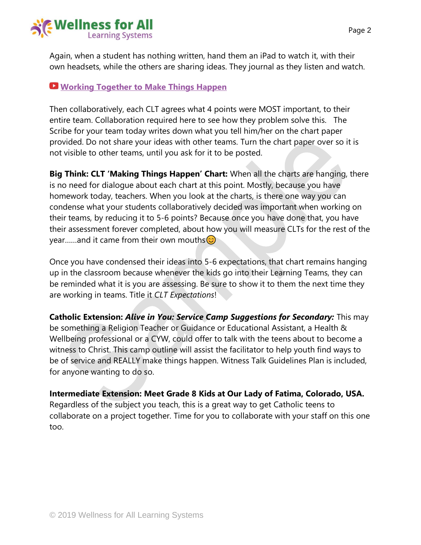

Again, when a student has nothing written, hand them an iPad to watch it, with their own headsets, while the others are sharing ideas. They journal as they listen and watch.

### **[Working Together to Make Things Happen](https://www.youtube.com/watch?v=Fd_nkBHgX8s)**

Then collaboratively, each CLT agrees what 4 points were MOST important, to their entire team. Collaboration required here to see how they problem solve this. The Scribe for your team today writes down what you tell him/her on the chart paper provided. Do not share your ideas with other teams. Turn the chart paper over so it is not visible to other teams, until you ask for it to be posted.

**Big Think: CLT 'Making Things Happen' Chart:** When all the charts are hanging, there is no need for dialogue about each chart at this point. Mostly, because you have homework today, teachers. When you look at the charts, is there one way you can condense what your students collaboratively decided was important when working on their teams, by reducing it to 5-6 points? Because once you have done that, you have their assessment forever completed, about how you will measure CLTs for the rest of the year......and it came from their own mouths  $\circled{c}$ 

Once you have condensed their ideas into 5-6 expectations, that chart remains hanging up in the classroom because whenever the kids go into their Learning Teams, they can be reminded what it is you are assessing. Be sure to show it to them the next time they are working in teams. Title it *CLT Expectations*!

**Catholic Extension:** *Alive in You: Service Camp Suggestions for Secondary:* This may be something a Religion Teacher or Guidance or Educational Assistant, a Health & Wellbeing professional or a CYW, could offer to talk with the teens about to become a witness to Christ. This camp outline will assist the facilitator to help youth find ways to be of service and REALLY make things happen. Witness Talk Guidelines Plan is included, for anyone wanting to do so.

**Intermediate Extension: Meet Grade 8 Kids at Our Lady of Fatima, Colorado, USA.**  Regardless of the subject you teach, this is a great way to get Catholic teens to collaborate on a project together. Time for you to collaborate with your staff on this one too.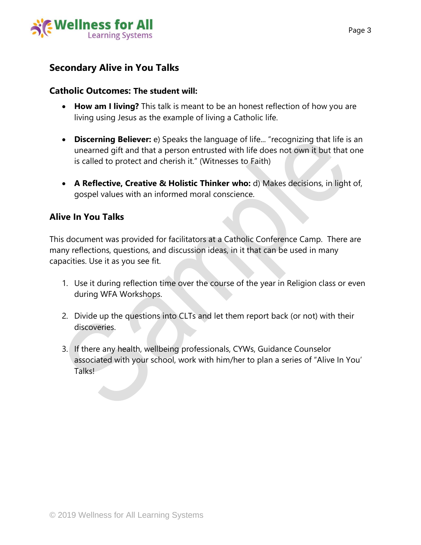

### **Secondary Alive in You Talks**

### **Catholic Outcomes: The student will:**

- **How am I living?** This talk is meant to be an honest reflection of how you are living using Jesus as the example of living a Catholic life.
- **Discerning Believer:** e) Speaks the language of life... "recognizing that life is an unearned gift and that a person entrusted with life does not own it but that one is called to protect and cherish it." (Witnesses to Faith)
- **A Reflective, Creative & Holistic Thinker who:** d) Makes decisions, in light of, gospel values with an informed moral conscience.

### **Alive In You Talks**

This document was provided for facilitators at a Catholic Conference Camp. There are many reflections, questions, and discussion ideas, in it that can be used in many capacities. Use it as you see fit.

- 1. Use it during reflection time over the course of the year in Religion class or even during WFA Workshops.
- 2. Divide up the questions into CLTs and let them report back (or not) with their discoveries.
- 3. If there any health, wellbeing professionals, CYWs, Guidance Counselor associated with your school, work with him/her to plan a series of "Alive In You' **TalksL**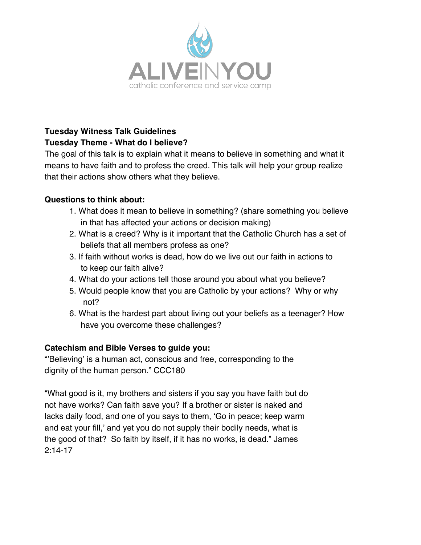

### **Tuesday Witness Talk Guidelines Tuesday Theme - What do I believe?**

The goal of this talk is to explain what it means to believe in something and what it means to have faith and to profess the creed. This talk will help your group realize that their actions show others what they believe.

### **Questions to think about:**

- 1. What does it mean to believe in something? (share something you believe in that has affected your actions or decision making)
- 2. What is a creed? Why is it important that the Catholic Church has a set of beliefs that all members profess as one?
- 3. If faith without works is dead, how do we live out our faith in actions to to keep our faith alive?
- 4. What do your actions tell those around you about what you believe?
- 5. Would people know that you are Catholic by your actions? Why or why not?
- 6. What is the hardest part about living out your beliefs as a teenager? How have you overcome these challenges?

### **Catechism and Bible Verses to guide you:**

"'Believing' is a human act, conscious and free, corresponding to the dignity of the human person." CCC180

"What good is it, my brothers and sisters if you say you have faith but do not have works? Can faith save you? If a brother or sister is naked and lacks daily food, and one of you says to them, 'Go in peace; keep warm and eat your fill,' and yet you do not supply their bodily needs, what is the good of that? So faith by itself, if it has no works, is dead." James  $2:14$ -17 "But someone will say, 'You have faith and I by my faith and I by my works, and I by my faith apart from your works.' Show works, and I by my faith  $\alpha$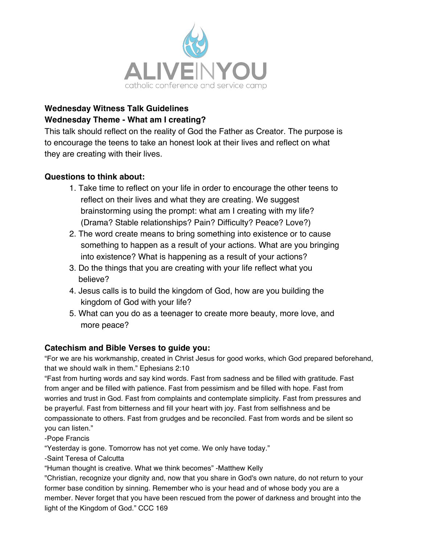

### **Wednesday Witness Talk Guidelines Wednesday Theme - What am I creating?**

This talk should reflect on the reality of God the Father as Creator. The purpose is to encourage the teens to take an honest look at their lives and reflect on what they are creating with their lives.

### **Questions to think about:**

- 1. Take time to reflect on your life in order to encourage the other teens to reflect on their lives and what they are creating. We suggest brainstorming using the prompt: what am I creating with my life? (Drama? Stable relationships? Pain? Difficulty? Peace? Love?)
- 2. The word create means to bring something into existence or to cause something to happen as a result of your actions. What are you bringing into existence? What is happening as a result of your actions?
- 3. Do the things that you are creating with your life reflect what you believe?
- 4. Jesus calls is to build the kingdom of God, how are you building the kingdom of God with your life?
- 5. What can you do as a teenager to create more beauty, more love, and more peace?

### **Catechism and Bible Verses to guide you:**

"For we are his workmanship, created in Christ Jesus for good works, which God prepared beforehand, that we should walk in them." Ephesians 2:10

"Fast from hurting words and say kind words. Fast from sadness and be filled with gratitude. Fast from anger and be filled with patience. Fast from pessimism and be filled with hope. Fast from worries and trust in God. Fast from complaints and contemplate simplicity. Fast from pressures and be prayerful. Fast from bitterness and fill your heart with joy. Fast from selfishness and be compassionate to others. Fast from grudges and be reconciled. Fast from words and be silent so you can listen."

-Pope Francis

"Yesterday is gone. Tomorrow has not yet come. We only have today."

-Saint Teresa of Calcutta

"Human thought is creative. What we think becomes" -Matthew Kelly

"Christian, recognize your dignity and, now that you share in God's own nature, do not return to your former base condition by sinning. Remember who is your head and of whose body you are a member. Never forget that you have been rescued from the power of darkness and brought into the light of the Kingdom of God." CCC 169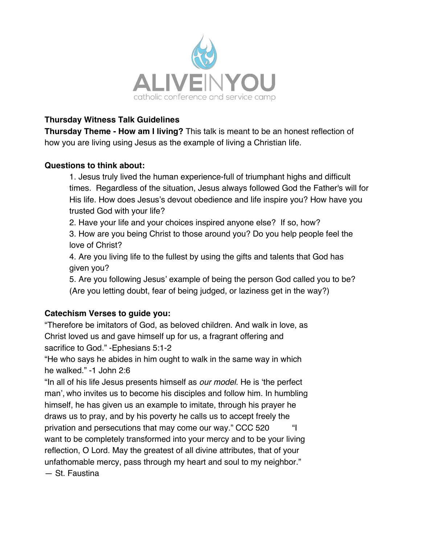

### **Thursday Witness Talk Guidelines**

**Thursday Theme - How am I living?** This talk is meant to be an honest reflection of how you are living using Jesus as the example of living a Christian life.

### **Questions to think about:**

1. Jesus truly lived the human experience-full of triumphant highs and difficult times. Regardless of the situation, Jesus always followed God the Father's will for His life. How does Jesus's devout obedience and life inspire you? How have you trusted God with your life?

2. Have your life and your choices inspired anyone else? If so, how?

3. How are you being Christ to those around you? Do you help people feel the love of Christ?

4. Are you living life to the fullest by using the gifts and talents that God has given you?

5. Are you following Jesus' example of being the person God called you to be? (Are you letting doubt, fear of being judged, or laziness get in the way?)

### **Catechism Verses to guide you:**

"Therefore be imitators of God, as beloved children. And walk in love, as Christ loved us and gave himself up for us, a fragrant offering and sacrifice to God." -Ephesians 5:1-2

"He who says he abides in him ought to walk in the same way in which he walked." -1 John 2:6

"In all of his life Jesus presents himself as *our model*. He is 'the perfect man', who invites us to become his disciples and follow him. In humbling himself, he has given us an example to imitate, through his prayer he draws us to pray, and by his poverty he calls us to accept freely the privation and persecutions that may come our way." CCC 520 "I want to be completely transformed into your mercy and to be your living reflection, O Lord. May the greatest of all divine attributes, that of your unfathomable mercy, pass through my heart and soul to my neighbor." — St. Faustina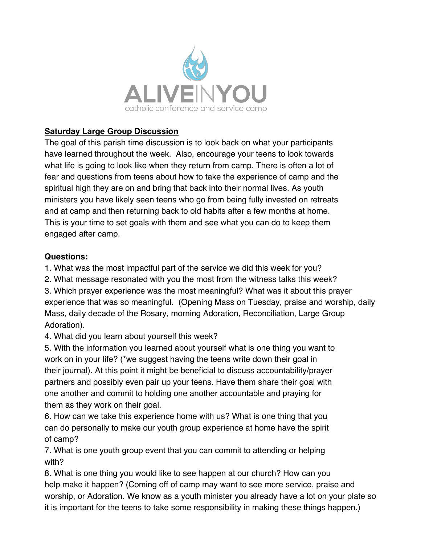

### **Saturday Large Group Discussion**

The goal of this parish time discussion is to look back on what your participants have learned throughout the week. Also, encourage your teens to look towards what life is going to look like when they return from camp. There is often a lot of fear and questions from teens about how to take the experience of camp and the spiritual high they are on and bring that back into their normal lives. As youth ministers you have likely seen teens who go from being fully invested on retreats and at camp and then returning back to old habits after a few months at home. This is your time to set goals with them and see what you can do to keep them engaged after camp.

### **Questions:**

1. What was the most impactful part of the service we did this week for you?

2. What message resonated with you the most from the witness talks this week?

3. Which prayer experience was the most meaningful? What was it about this prayer experience that was so meaningful. (Opening Mass on Tuesday, praise and worship, daily Mass, daily decade of the Rosary, morning Adoration, Reconciliation, Large Group Adoration).

4. What did you learn about yourself this week?

5. With the information you learned about yourself what is one thing you want to work on in your life? (\*we suggest having the teens write down their goal in their journal). At this point it might be beneficial to discuss accountability/prayer partners and possibly even pair up your teens. Have them share their goal with one another and commit to holding one another accountable and praying for them as they work on their goal.

6. How can we take this experience home with us? What is one thing that you can do personally to make our youth group experience at home have the spirit of camp?

7. What is one youth group event that you can commit to attending or helping with?

8. What is one thing you would like to see happen at our church? How can you help make it happen? (Coming off of camp may want to see more service, praise and worship, or Adoration. We know as a youth minister you already have a lot on your plate so it is important for the teens to take some responsibility in making these things happen.)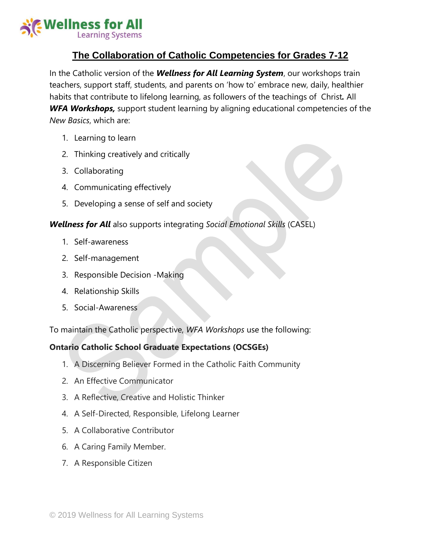

### **The Collaboration of Catholic Competencies for Grades 7-12**

In the Catholic version of the *Wellness for All Learning System*, our workshops train teachers, support staff, students, and parents on 'how to' embrace new, daily, healthier habits that contribute to lifelong learning, as followers of the teachings of Christ*.* All *WFA Workshops,* support student learning by aligning educational competencies of the *New Basics*, which are:

- 1. Learning to learn
- 2. Thinking creatively and critically
- 3. Collaborating
- 4. Communicating effectively
- 5. Developing a sense of self and society

### *Wellness for All* also supports integrating *Social Emotional Skills* (CASEL)

- 1. Self-awareness
- 2. Self-management
- 3. Responsible Decision -Making
- 4. Relationship Skills
- 5. Social-Awareness

To maintain the Catholic perspective, *WFA Workshops* use the following:

### **Ontario Catholic School Graduate Expectations (OCSGEs)**

- 1. A Discerning Believer Formed in the Catholic Faith Community
- 2. An Effective Communicator
- 3. A Reflective, Creative and Holistic Thinker
- 4. A Self-Directed, Responsible, Lifelong Learner
- 5. A Collaborative Contributor
- 6. A Caring Family Member.
- 7. A Responsible Citizen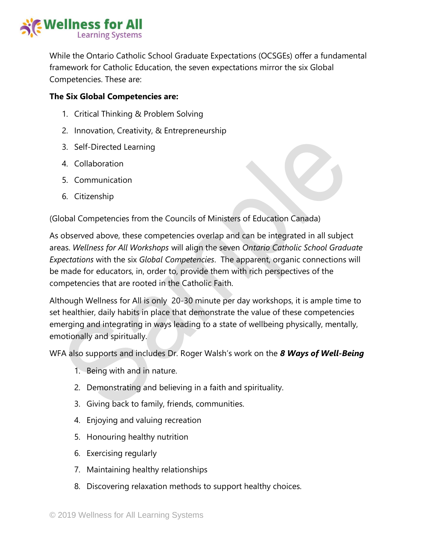

While the Ontario Catholic School Graduate Expectations (OCSGEs) offer a fundamental framework for Catholic Education, the seven expectations mirror the six Global Competencies. These are:

#### **The Six Global Competencies are:**

- 1. Critical Thinking & Problem Solving
- 2. Innovation, Creativity, & Entrepreneurship
- 3. Self-Directed Learning
- 4. Collaboration
- 5. Communication
- 6. Citizenship

(Global Competencies from the Councils of Ministers of Education Canada)

As observed above, these competencies overlap and can be integrated in all subject areas. *Wellness for All Workshops* will align the seven *Ontario Catholic School Graduate Expectations* with the six *Global Competencies*. The apparent, organic connections will be made for educators, in, order to, provide them with rich perspectives of the competencies that are rooted in the Catholic Faith.

Although Wellness for All is only 20-30 minute per day workshops, it is ample time to set healthier, daily habits in place that demonstrate the value of these competencies emerging and integrating in ways leading to a state of wellbeing physically, mentally, emotionally and spiritually.

WFA also supports and includes Dr. Roger Walsh's work on the *8 Ways of Well-Being*

- 1. Being with and in nature.
- 2. Demonstrating and believing in a faith and spirituality.
- 3. Giving back to family, friends, communities.
- 4. Enjoying and valuing recreation
- 5. Honouring healthy nutrition
- 6. Exercising regularly
- 7. Maintaining healthy relationships
- 8. Discovering relaxation methods to support healthy choices.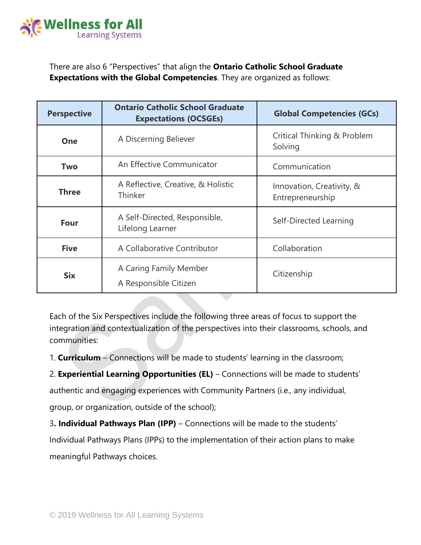

There are also 6 "Perspectives" that align the **Ontario Catholic School Graduate Expectations with the Global Competencies**. They are organized as follows:

| <b>Perspective</b> | <b>Ontario Catholic School Graduate</b><br><b>Expectations (OCSGEs)</b> | <b>Global Competencies (GCs)</b>              |
|--------------------|-------------------------------------------------------------------------|-----------------------------------------------|
| One                | A Discerning Believer                                                   | Critical Thinking & Problem<br>Solving        |
| <b>Two</b>         | An Effective Communicator                                               | Communication                                 |
| <b>Three</b>       | A Reflective, Creative, & Holistic<br>Thinker                           | Innovation, Creativity, &<br>Entrepreneurship |
| <b>Four</b>        | A Self-Directed, Responsible,<br>Lifelong Learner                       | Self-Directed Learning                        |
| <b>Five</b>        | A Collaborative Contributor                                             | Collaboration                                 |
| <b>Six</b>         | A Caring Family Member<br>A Responsible Citizen                         | Citizenship                                   |

Each of the Six Perspectives include the following three areas of focus to support the integration and contextualization of the perspectives into their classrooms, schools, and communities:

1. **Curriculum** – Connections will be made to students' learning in the classroom;

2. **Experiential Learning Opportunities (EL)** – Connections will be made to students'

authentic and engaging experiences with Community Partners (i.e., any individual,

group, or organization, outside of the school);

3**. Individual Pathways Plan (IPP)** – Connections will be made to the students' Individual Pathways Plans (IPPs) to the implementation of their action plans to make meaningful Pathways choices.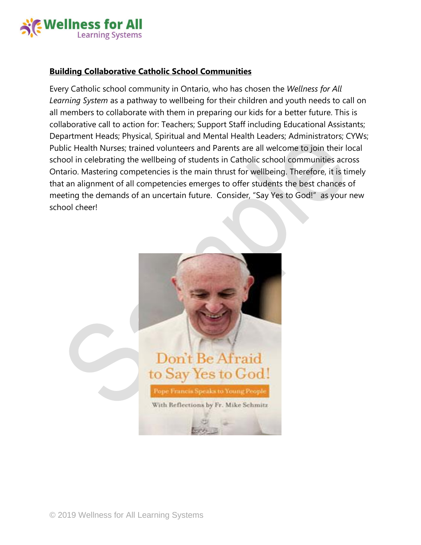

### **Building Collaborative Catholic School Communities**

Every Catholic school community in Ontario, who has chosen the *Wellness for All Learning System* as a pathway to wellbeing for their children and youth needs to call on all members to collaborate with them in preparing our kids for a better future. This is collaborative call to action for: Teachers; Support Staff including Educational Assistants; Department Heads; Physical, Spiritual and Mental Health Leaders; Administrators; CYWs; Public Health Nurses; trained volunteers and Parents are all welcome to join their local school in celebrating the wellbeing of students in Catholic school communities across Ontario. Mastering competencies is the main thrust for wellbeing. Therefore, it is timely that an alignment of all competencies emerges to offer students the best chances of meeting the demands of an uncertain future. Consider, "Say Yes to God!" as your new school cheer!

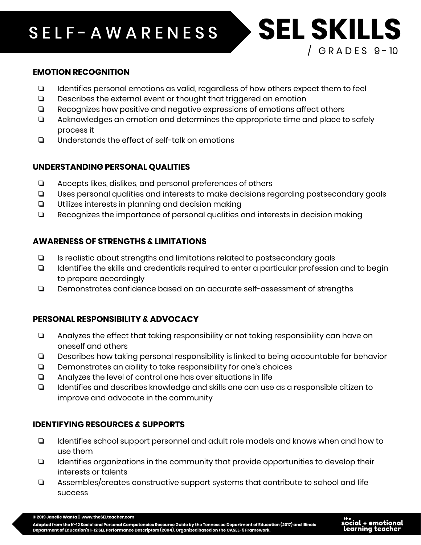# S E L F - A W A R E N E S S **SELF-AWARENESS SEL SKILLS**

### **EMOTION RECOGNITION**

- ❏ Identifies personal emotions as valid, regardless of how others expect them to feel
- ❏ Describes the external event or thought that triggered an emotion
- ❏ Recognizes how positive and negative expressions of emotions affect others
- ❏ Acknowledges an emotion and determines the appropriate time and place to safely process it
- ❏ Understands the effect of self-talk on emotions

### **UNDERSTANDING PERSONAL QUALITIES**

- ❏ Accepts likes, dislikes, and personal preferences of others
- ❏ Uses personal qualities and interests to make decisions regarding postsecondary goals
- ❏ Utilizes interests in planning and decision making
- ❏ Recognizes the importance of personal qualities and interests in decision making

### **AWARENESS OF STRENGTHS & LIMITATIONS**

- ❏ Is realistic about strengths and limitations related to postsecondary goals
- ❏ Identifies the skills and credentials required to enter a particular profession and to begin to prepare accordingly
- ❏ Demonstrates confidence based on an accurate self-assessment of strengths

### **PERSONAL RESPONSIBILITY & ADVOCACY**

- ❏ Analyzes the effect that taking responsibility or not taking responsibility can have on oneself and others
- ❏ Describes how taking personal responsibility is linked to being accountable for behavior
- ❏ Demonstrates an ability to take responsibility for one's choices
- ❏ Analyzes the level of control one has over situations in life
- ❏ Identifies and describes knowledge and skills one can use as a responsible citizen to improve and advocate in the community

### **IDENTIFYING RESOURCES & SUPPORTS**

- ❏ Identifies school support personnel and adult role models and knows when and how to use them
- ❏ Identifies organizations in the community that provide opportunities to develop their interests or talents
- ❏ Assembles/creates constructive support systems that contribute to school and life success



 $/$  GRADES 9-10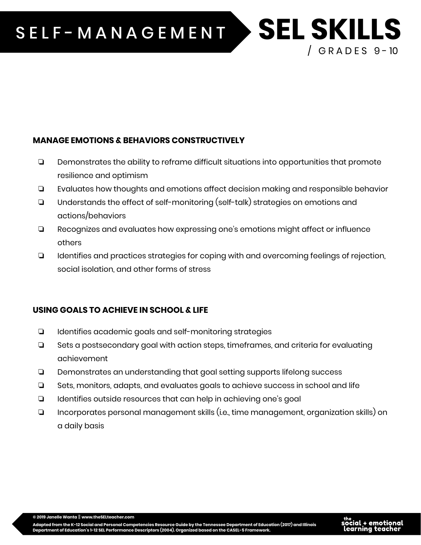# SELF-MANAGEMENT > SEL SKILLS

### **MANAGE EMOTIONS & BEHAVIORS CONSTRUCTIVELY**

- ❏ Demonstrates the ability to reframe difficult situations into opportunities that promote resilience and optimism
- ❏ Evaluates how thoughts and emotions affect decision making and responsible behavior
- ❏ Understands the effect of self-monitoring (self-talk) strategies on emotions and actions/behaviors
- ❏ Recognizes and evaluates how expressing one's emotions might affect or influence others
- ❏ Identifies and practices strategies for coping with and overcoming feelings of rejection, social isolation, and other forms of stress

### **USING GOALS TO ACHIEVE IN SCHOOL & LIFE**

- ❏ Identifies academic goals and self-monitoring strategies
- ❏ Sets a postsecondary goal with action steps, timeframes, and criteria for evaluating achievement
- ❏ Demonstrates an understanding that goal setting supports lifelong success
- ❏ Sets, monitors, adapts, and evaluates goals to achieve success in school and life
- ❏ Identifies outside resources that can help in achieving one's goal
- ❏ Incorporates personal management skills (i.e., time management, organization skills) on a daily basis

**© 2019 Janelle Wanta** || **www.theSELteacher.com**

Adapted from the K-12 Social and Personal Competencies Resource Guide by the Tennessee Department of Education (2017) and Illinois<br>Department of Education's 1-12 SEL Performance Descriptors (2004). Organized based on the C



 $/$  GRADES 9-10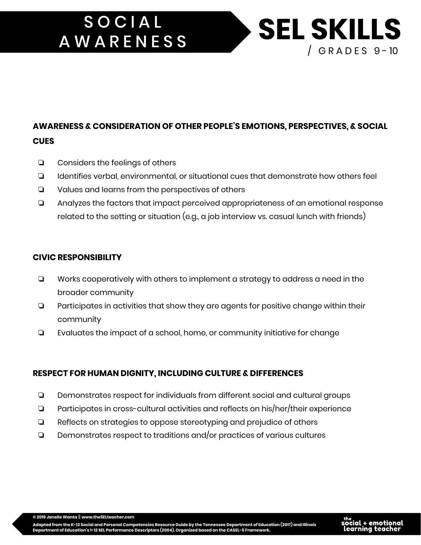# **SOCIAL SEL SKILLS AWARENESS**

## **AWARENESS & CONSIDERATION OF OTHER PEOPLE'S EMOTIONS, PERSPECTIVES, & SOCIAL CUES**

- ❏ Considers the feelings of others
- ❏ Identifies verbal, environmental, or situational cues that demonstrate how others feel
- ❏ Values and learns from the perspectives of others
- ❏ Analyzes the factors that impact perceived appropriateness of an emotional response related to the setting or situation (e.g., a job interview vs. casual lunch with friends)

### **CIVIC RESPONSIBILITY**

- ❏ Works cooperatively with others to implement a strategy to address a need in the broader community
- ❏ Participates in activities that show they are agents for positive change within their community
- ❏ Evaluates the impact of a school, home, or community initiative for change

### **RESPECT FOR HUMAN DIGNITY, INCLUDING CULTURE & DIFFERENCES**

- ❏ Demonstrates respect for individuals from different social and cultural groups
- ❏ Participates in cross-cultural activities and reflects on his/her/their experience
- ❏ Reflects on strategies to oppose stereotyping and prejudice of others
- ❏ Demonstrates respect to traditions and/or practices of various cultures



/ G R A D E S 9 - 10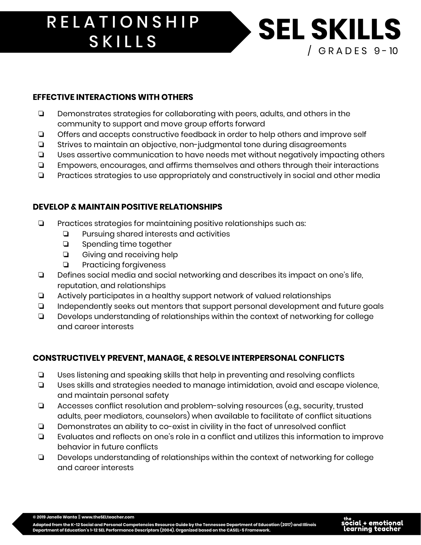# RELATIONSHIP SEL SKILLS **SKILLS**

### **EFFECTIVE INTERACTIONS WITH OTHERS**

- ❏ Demonstrates strategies for collaborating with peers, adults, and others in the community to support and move group efforts forward
- ❏ Offers and accepts constructive feedback in order to help others and improve self
- ❏ Strives to maintain an objective, non-judgmental tone during disagreements
- ❏ Uses assertive communication to have needs met without negatively impacting others
- ❏ Empowers, encourages, and affirms themselves and others through their interactions
- ❏ Practices strategies to use appropriately and constructively in social and other media

### **DEVELOP & MAINTAIN POSITIVE RELATIONSHIPS**

- ❏ Practices strategies for maintaining positive relationships such as:
	- ❏ Pursuing shared interests and activities
	- ❏ Spending time together
	- ❏ Giving and receiving help
	- ❏ Practicing forgiveness
- ❏ Defines social media and social networking and describes its impact on one's life, reputation, and relationships
- ❏ Actively participates in a healthy support network of valued relationships
- ❏ Independently seeks out mentors that support personal development and future goals
- ❏ Develops understanding of relationships within the context of networking for college and career interests

### **CONSTRUCTIVELY PREVENT, MANAGE, & RESOLVE INTERPERSONAL CONFLICTS**

- ❏ Uses listening and speaking skills that help in preventing and resolving conflicts
- ❏ Uses skills and strategies needed to manage intimidation, avoid and escape violence, and maintain personal safety
- ❏ Accesses conflict resolution and problem-solving resources (e.g., security, trusted adults, peer mediators, counselors) when available to facilitate of conflict situations
- ❏ Demonstrates an ability to co-exist in civility in the fact of unresolved conflict
- ❏ Evaluates and reflects on one's role in a conflict and utilizes this information to improve behavior in future conflicts
- ❏ Develops understanding of relationships within the context of networking for college and career interests



 $/$  GRADES 9-10